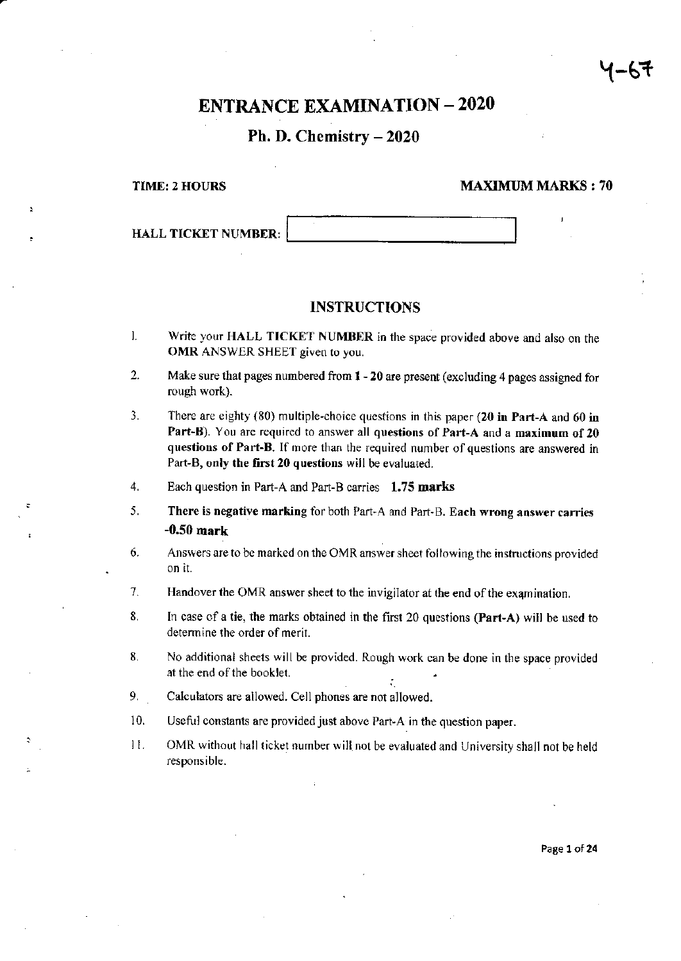# y-67

# ENTRANCE EXAMINATION - 2O2O

## Ph. D. Chemistry - <sup>2020</sup>

#### TIME: 2 HOURS

#### MAXIMUM MARKS : 70

HALL TICKET NUMBER:

#### **INSTRUCTIONS**

- L Write your HALL TICKET NUMBER in the space provided above and also on the OMR ANSWER SHEET given to you.
- 2. Make sure that pages numbered from  $1 20$  are present (excluding 4 pages assigned for rough work).
- 3. There are eighty (80) multiple-choice questions in this paper (20 in Part-A and 60 in Part-B). You are required to answer all questions of Part-A and a maximum of 20 questions of Part-B. If more than the required number of questions are answered in Part-B, only the first 20 questions will be evaluated.
- 4. Each question in Part-A and Part-B carries 1.75 marks
- 5. There is negative marking for both Part-A and Part-B. Each wrong answer carries -0.50 mark
- 6. Answers are to be marked on the OMR answer sheet following the instructions provided on it
- 7. Handover the OMR answer sheet to the invigilator at the end of the examination.
- 8. In case of a tie, the marks obtained in the first 20 questions (Part-A) will be used to determine the order of merit.
- 8. No additional sheets will be provided. Rough work can be done in the space provided at the end of the booklet. ,
- 9. Calculators are allowed. Cell phones are not allowed.
- 10. Useful constants are provided just above Part-A in the question paper.
- II. OMR without hall ticket number will not be evaluated and University shall not be held responsible.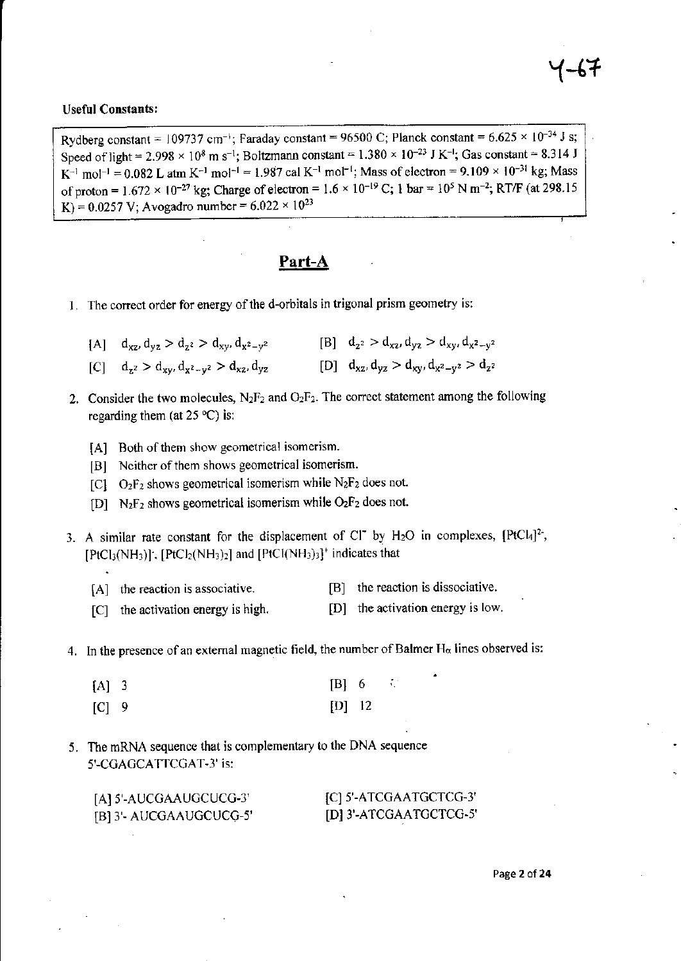#### **Useful Constants:**

Rydberg constant = 109737 cm<sup>-1</sup>; Faraday constant = 96500 C; Planck constant = 6.625  $\times$  10<sup>-34</sup> J s; Speed of light = 2.998 × 10<sup>8</sup> m s<sup>-1</sup>; Boltzmann constant = 1.380 × 10<sup>-23</sup> J K<sup>-1</sup>; Gas constant = 8.314 J  $K^{-1}$  mol<sup>-1</sup> = 0.082 L atm K<sup>-1</sup> mol<sup>-1</sup> = 1.987 cal K<sup>-1</sup> mol<sup>-1</sup>; Mass of electron = 9.109 × 10<sup>-31</sup> kg; Mass of proton =  $1.672 \times 10^{-27}$  kg; Charge of electron =  $1.6 \times 10^{-19}$  C; 1 bar =  $10^5$  N m<sup>-2</sup>; RT/F (at 298.15) K) = 0.0257 V; Avogadro number =  $6.022 \times 10^{23}$ 

# Part-A

- 1. The correct order for energy of the d-orbitals in trigonal prism geometry is:
	- $[A]$  d<sub>xz</sub>,  $d_{vz} > d_{z^2} > d_{xv}$ ,  $d_{x^2-v^2}$  [B]  $d_{z^2} > d_{xz}$ ,  $d_{vz} > d_{xv}$ ,  $d_{x^2-v^2}$
	- $[C]$   $d_{z^2} > d_{xy}, d_{x^2-y^2} > d_{xz}, d_{yz}$  <br> [D]  $d_{xz}, d_{yz} > d_{xy}, d_{x^2-y^2} > d_{z^2}$
- 2. Consider the two molecules,  $N_2F_2$  and  $O_2F_2$ . The correct statement among the following regarding them (at  $25 \text{ °C}$ ) is:
	- [A] Both of them show geometrical isomerism.
	- [B] Neither of them shows geometrical isomerism.
	- [C]  $O_2F_2$  shows geometrical isomerism while N<sub>2</sub>F<sub>2</sub> does not.
	- [D] N<sub>2</sub>F<sub>2</sub> shows geometrical isomerism while  $O_2F_2$  does not.
- 3. A similar rate constant for the displacement of Cl<sup>-</sup> by H<sub>2</sub>O in complexes,  $[PtCl<sub>4</sub>]<sup>2</sup>$ ,  $[PtCl<sub>3</sub>(NH<sub>3</sub>)]$ <sup>\*</sup>,  $[PtCl<sub>2</sub>(NH<sub>3</sub>)<sub>2</sub>]$  and  $[PtCl(NH<sub>3</sub>)<sub>3</sub>]<sup>+</sup>$  indicates that
	- [A] the reaction is associative. [B] the reaction is dissociative.
	- [C] the activation energy is high. [D] the activation energy is low.
- 4. In the presence of an external magnetic field, the number of Balmer H<sub> $\alpha$ </sub> lines observed is:
	- $[A]$  3  $|C|$  9 [B] 6  $\ddot{\phantom{1}}$ [D] <sup>12</sup>
- 5. The mRNA sequence that is complementary to the DNA sequence 5'-CGAGCATTCGAT-3' is:

| [A] 5'-AUCGAAUGCUCG-3'  | [C] 5'-ATCGAATGCTCG-3' |
|-------------------------|------------------------|
| [B] 3'- AUCGAAUGCUCG-5' | [D] 3'-ATCGAATGCTCG-5' |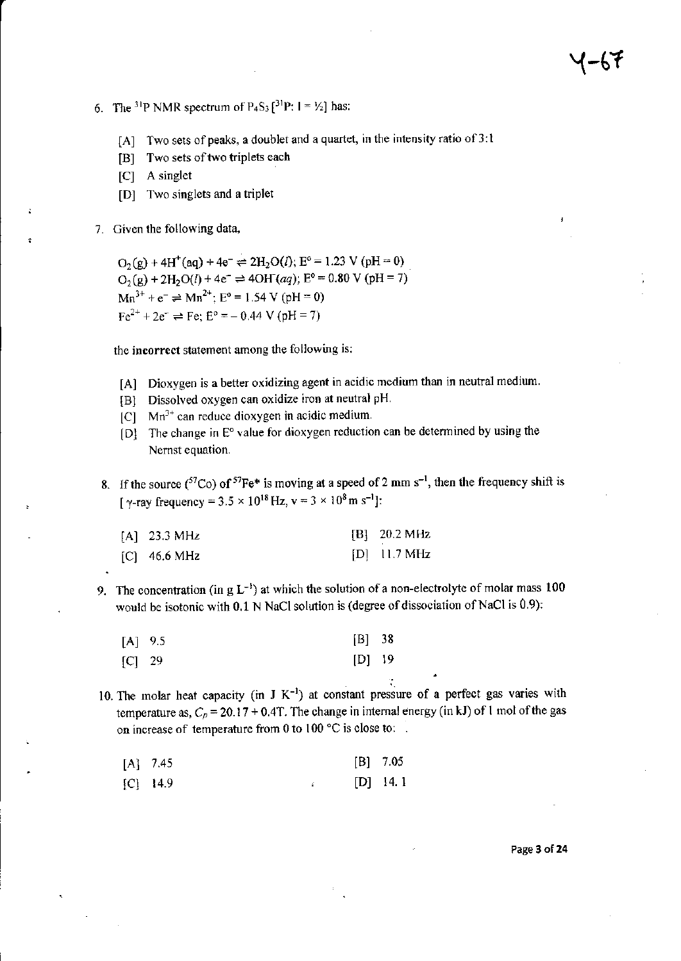- 6. The <sup>31</sup>P NMR spectrum of P<sub>4</sub>S<sub>3</sub><sup>[31</sup>P:  $I = V_2$ ] has:
	- [A] Two sets of peaks, a doublet and a quartet, in the intensity ratio of 3:1
	- [B] Two sets of two triplets each
	- [C] A singlet
	- [D] Two singlets and a triplet

7. Given the following data,

 $O_2(g) + 4H^+(aq) + 4e^- \rightleftharpoons 2H_2O(l); E^0 = 1.23$  V (pH = 0)  $O_2(g) + 2H_2O(l) + 4e^- \rightleftharpoons 4OH (aq); E^o = 0.80 \text{ V (pH = 7)}$  $Mn^{3+} + e^- \rightleftharpoons Mn^{2+}$ ; E° = 1.54 V (pH = 0)  $Fe^{2+} + 2e^- \rightleftharpoons Fe$ ;  $E^{\circ} = -0.44$  V (pH = 7)

the incorrect statement among the following is:

- [A] Dioxygen is a better oxidizing agent in acidic medium than in neutral medium.
- [B] Dissolved oxygen can oxidize iron at neutral pH.
- $|C|$  Mn<sup>3+</sup> can reduce dioxygen in acidic medium.
- [D] The change in E° value for dioxygen reduction can be determined by using the Nernst equation.
- 8. If the source ( ${}^{57}Co$ ) of  ${}^{57}Fe*$  is moving at a speed of 2 mm s<sup>-1</sup>, then the frequency shift is [ $\gamma$ -ray frequency = 3.5  $\times$  10<sup>18</sup> Hz, v = 3  $\times$  10<sup>8</sup> m s<sup>-1</sup>]:

| $[A]$ 23.3 MHz | $[B]$ 20.2 MHz |
|----------------|----------------|
| $[C]$ 46.6 MHz | $[D]$ 11.7 MHz |

9. The concentration (in g  $L^{-1}$ ) at which the solution of a non-electrolyte of molar mass 100 would be isotonic with 0.1 N NaCl solution is (degree of dissociation of NaCl is 0.9):

| $[A]$ 9.5 | $[B]$ 38 |  |
|-----------|----------|--|
| $[C]$ 29  | $[D]$ 19 |  |

10. The molar heat capacity (in J  $K^{-1}$ ) at constant pressure of a perfect gas varies with temperature as,  $C_p = 20.17 + 0.4$ T. The change in internal energy (in kJ) of 1 mol of the gas on increase of temperature from 0 to  $100^{\circ}$ C is close to:

| $[A]$ 7.45 | $[B]$ 7.05 |
|------------|------------|
| $[C]$ 14.9 | $[D]$ 14.1 |

Page 3 of 24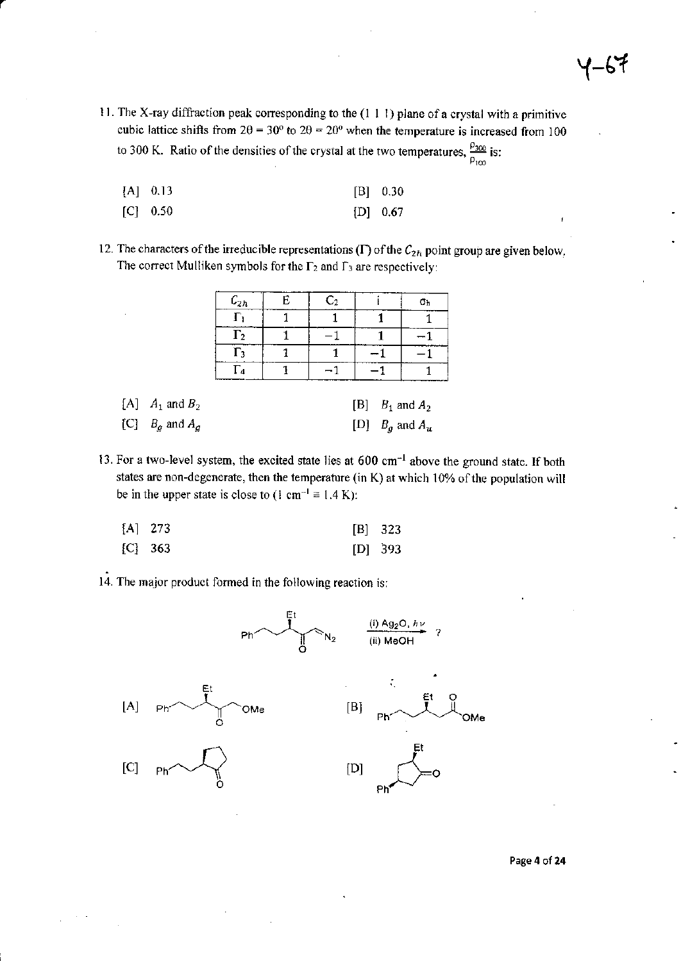- 
- 11. The X-ray diffraction peak corresponding to the  $(1\ 1\ 1)$  plane of a crystal with a primitive cubic lattice shifts from  $2\theta = 30^{\circ}$  to  $2\theta = 20^{\circ}$  when the temperature is increased from 100 to 300 K. Ratio of the densities of the crystal at the two temperatures,  $\frac{\rho_{300}}{\rho_{100}}$  is:

| $[A]$ 0.13 | [B] 0.30   |
|------------|------------|
| $[C]$ 0.50 | $[D]$ 0.67 |

12. The characters of the irreducible representations ( $\Gamma$ ) of the  $C_{2h}$  point group are given below. The correct Mulliken symbols for the  $\Gamma_2$  and  $\Gamma_3$  are respectively:

| [A] $A_1$ and $B_2$ | [B] $B_1$ and $A_2$ |
|---------------------|---------------------|
| [C] $B_g$ and $A_g$ | [D] $B_q$ and $A_u$ |

13. For a two-level system, the excited state lies at 600 cm<sup>-1</sup> above the ground state. If both states are non-degenerate, then the temperature (in K) at which 10% of the population will be in the upper state is close to  $(1 \text{ cm}^{-1} \equiv 1.4 \text{ K})$ :

| $[A]$ 273 | $[B]$ 323 |  |
|-----------|-----------|--|
| $[C]$ 363 | $[D]$ 393 |  |

14. The major product formed in the following reaction is:



Page 4 of 24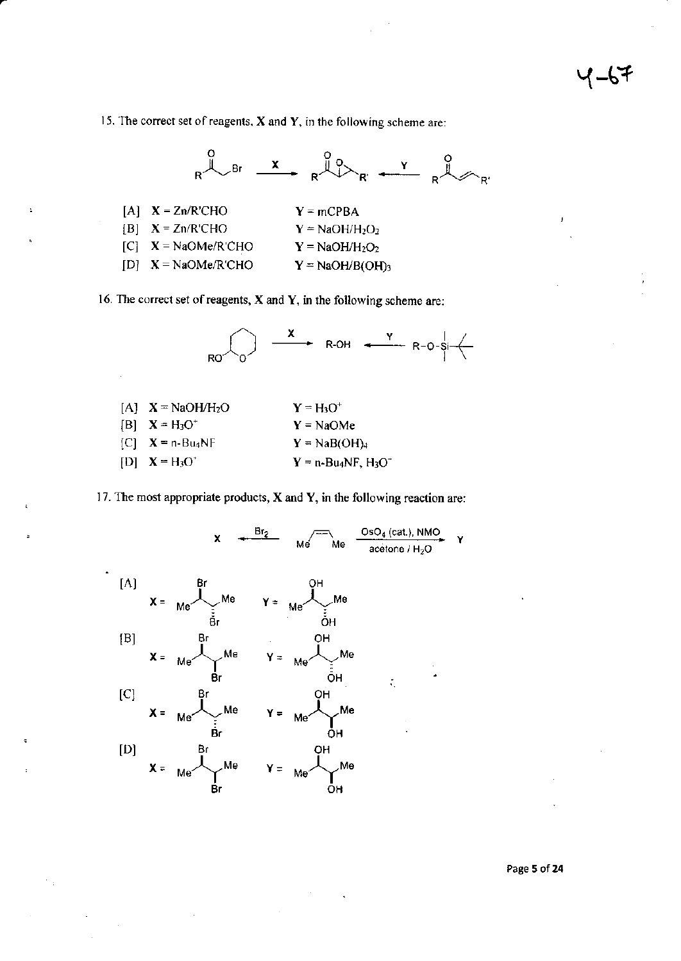15. The correct set of reagents,  $X$  and  $Y$ , in the following scheme are:



16. The correct set of reagents,  $X$  and  $Y$ , in the following scheme are:

 $R-O+$  R-OH  $\leftarrow$  R-O-Si-[A]  $X = NaOH/H<sub>2</sub>O$  $Y = H<sub>3</sub>O<sup>+</sup>$  $[B]$   $X = H_3O^+$  $Y = NaOMe$ 

 $[C]$   $X = n-Bu_4NF$  $Y = NaB(OH)<sub>4</sub>$  $[D]$   $X = H<sub>3</sub>O'$  $Y = n-Bu_4NF$ ,  $H_3O^+$ 

17. The most appropriate products,  $X$  and  $Y$ , in the following reaction are:



Page 5 of 24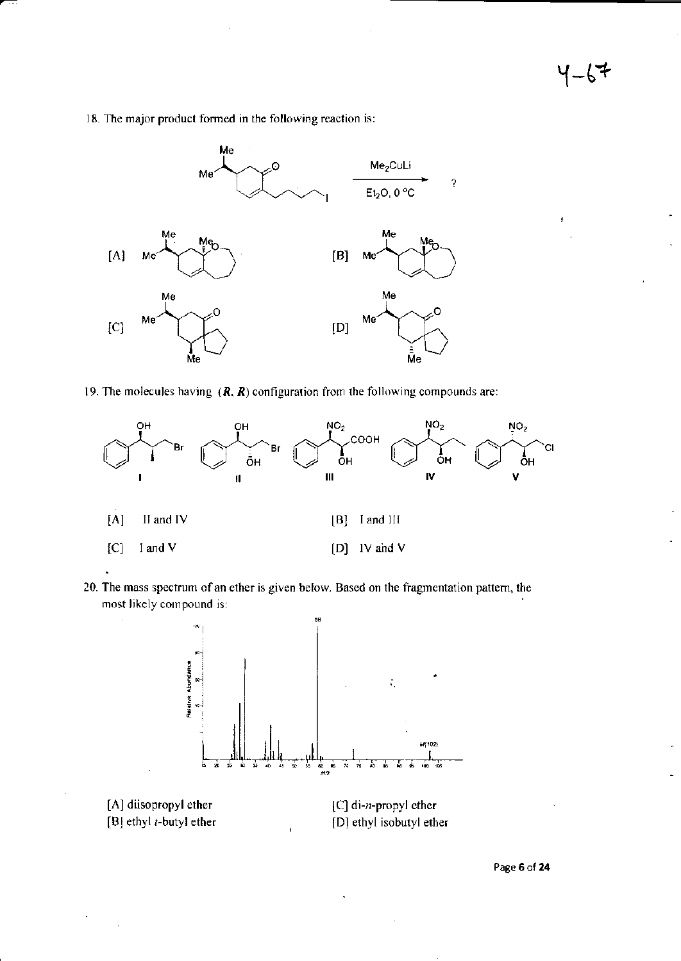18. The major product formed in the following reaction is:



19. The molecules having  $(R, R)$  configuration from the following compounds are:



20. The mass spectrum of an ether is given below. Based on the fragmentation pattern, the most likely compound is:



[A] diisopropyl ether [B] ethyl  $t$ -butyl ether [C] di-n-propyl ether [D] ethyl isobutyl ether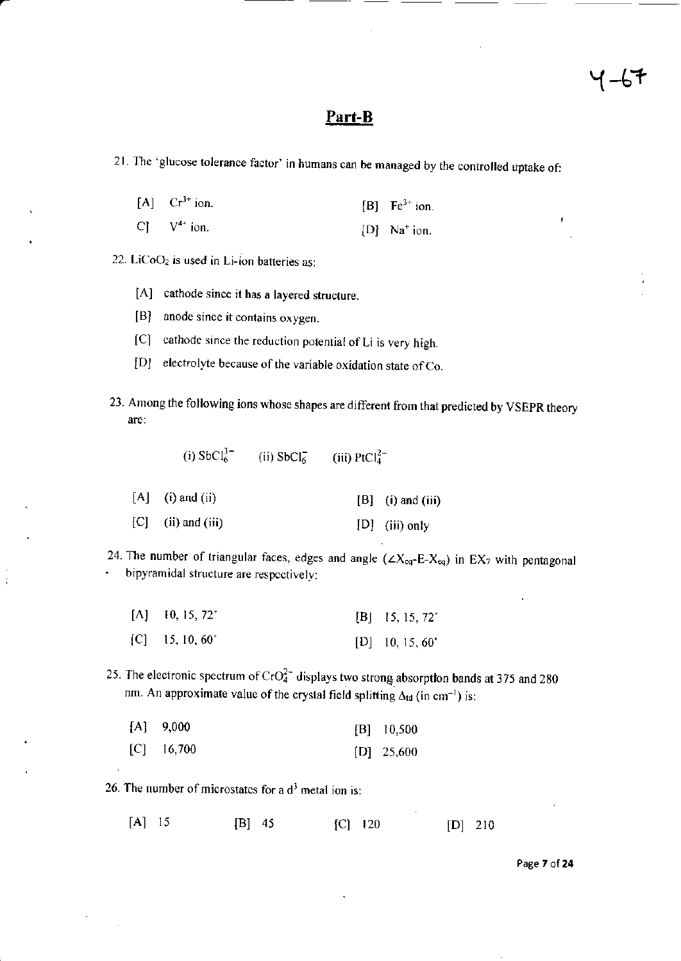### Part-B

21. The 'glucose tolerance factor' in humans can be managed by the controlled uptake of:

- $[A]$  Cr<sup>3+</sup> ion. [B]  $\text{Fe}^{3+}$  ion.
- $C$ ]  $V^{44}$  ion.  $[D]$  Na<sup>+</sup> ion.

 $22.$  LiCoO<sub>2</sub> is used in Li-ion batteries as:

- [A] cathode since it has a layered structure.
- [B] anode since it contains oxygen.
- [C] cathode since the reduction potential of Li is very high.
- [D] electrolyte because of the variable oxidation state of Co.
- 23. Among the following ions whose shapes are different from that predicted by VSEPR theory are:

| (i) $SbCl_6^{3-}$<br>(ii) $SbCl6$ | (iii) PtCl <sub>4</sub> <sup>2-</sup> |
|-----------------------------------|---------------------------------------|
|-----------------------------------|---------------------------------------|

- $[A]$  (i) and (ii)  $[B]$  (i) and (iii)
- $[C]$  (ii) and (iii) ID] (iii) only
- 24. The number of triangular faces, edges and angle  $(\angle X_{eq} E X_{eq})$  in EX<sub>7</sub> with pentagona . bipyramidal structure are respcctively:

| $[A]$ 10, 15, 72 <sup>°</sup> | $[B]$ 15, 15, 72 <sup>°</sup> |
|-------------------------------|-------------------------------|
| $[C]$ 15, 10, 60°             | $[D]$ 10, 15, 60 <sup>°</sup> |

25. The electronic spectrum of  $CrO_4^{2-}$  displays two strong absorption bands at 375 and 280 nm. An approximate value of the crystal field splitting  $\Delta_{td}$  (in cm<sup>-1</sup>) is:

| $[A]$ 9,000  | $[B]$ 10,500 |
|--------------|--------------|
| $[C]$ 16,700 | $[D]$ 25,600 |

26. The number of microstates for a  $d<sup>3</sup>$  metal ion is:

 $[A]$  15  $[B]$  45  $[C]$  120  $[D]$  210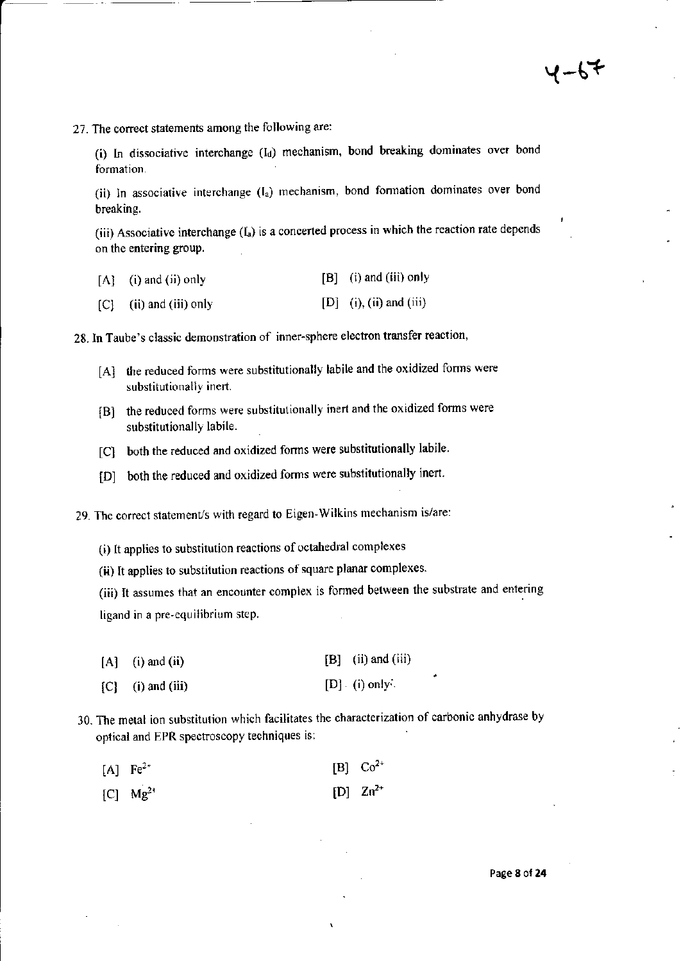27. The correct statements among the following are:

(i) In dissociative interchange  $(I_d)$  mechanism, bond breaking dominates over bond formation.

(ii) In associative interchange  $(I_a)$  mechanism, bond formation dominates over bond breaking.

(iii) Associative interchange  $(I_a)$  is a concerted process in which the reaction rate depends on the entering group.

| $[A]$ (i) and (ii) only   | $[B]$ (i) and (iii) only  |
|---------------------------|---------------------------|
| $[C]$ (ii) and (iii) only | $[D]$ (i), (ii) and (iii) |

28. In Taube's classic demonstration of inner-sphere electron transfer reaction,

- [A] the reduced forms were substitutionally labile and the oxidized forms were substitutionally inert.
- [B] the reduced forms were substitutionally inert and the oxidized forms were substitutionally labile.
- [C] both the reduced and oxidized forms were substitutionally labile.
- [D] both the reduced and oxidized forms were substitutionally inert.

29. The correct statement/s with regard to Eigen-Wilkins mechanism is/are:

- (i) It applies to substitution reactions of octahedral complexes
- (ii) It applies to substitution reactions of square planar complexes.

(iii) It assumes that an encounter complex is formed between the substrate and entering ligand in a pre-equilibrium step.

| $[A]$ (i) and (ii) | $[B]$ (ii) and (iii) |
|--------------------|----------------------|
|--------------------|----------------------|

- $[C]$  (i) and (iii)  $[D]$  (i) only<sup>i</sup>.
- 30. The metal ion substitution which facilitates the characterization of carbonic anhydrase by optical and EPR spectroscopy techniques is:
	- $[A]$   $Fe<sup>2+</sup>$  $|C|$  Mg<sup>2+</sup>  $[B]$  Co<sup>2+</sup> [D]  $Zn^{2+}$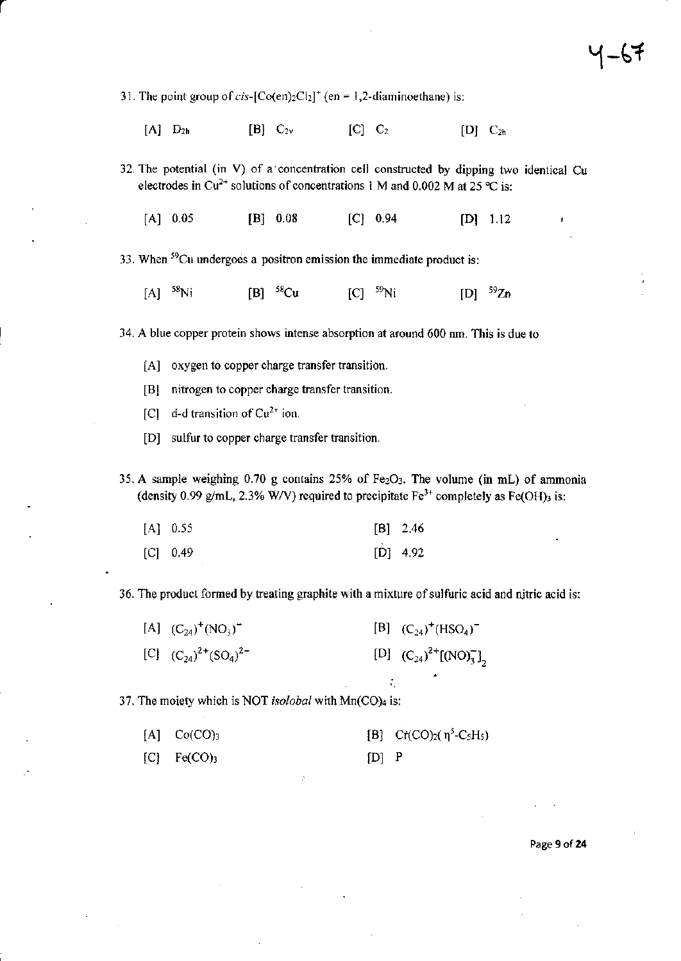31. The point group of cis- $[Co(en)_2Cl_2]^+$  (en = 1,2-diaminoethane) is:

 $[A]$  D<sub>2h</sub> [B] C<sub>2v</sub> [C] C<sub>2</sub> [D] C<sub>2h</sub>

32. The potential (in V) of a concentration cell constructed by dipping two identical Cu electrodes in Cu<sup>2+</sup> solutions of concentrations 1 M and 0.002 M at 25 °C is:

lAl 0.05 [B] 0.08 [c] 0.94 [D] l.l2

33. When  $59Cu$  undergoes a positron emission the immediate product is:

[A]  ${}^{58}Ni$  [B]  ${}^{58}Cu$  [C]  ${}^{59}Ni$  [D]  ${}^{59}Zn$ 

34. A blue copper protein shows intense absorption at around 600 nm- This is due to

- [A] oxygen to copper charge transfer transition.
- [B] nitrogen to copper charge transfer transition.
- [C] d-d transition of  $Cu^{2+}$  ion.
- [D] sulfur to copper charge transfer transition.

35. A sample weighing  $0.70$  g contains  $25%$  of Fe<sub>2</sub>O<sub>3</sub>. The volume (in mL) of ammonia (density 0.99 g/mL, 2.3% W/V) required to precipitate  $Fe^{3+}$  completely as  $Fe(OH)_3$  is:

| $[A]$ 0.55 | $[B]$ 2.46 |
|------------|------------|
| $[C]$ 0.49 | $[D]$ 4.92 |

36. The product formed by treating graphite with a mixture of sulfuric acid and nitric acid is:

i'

[A]  $(C_{24})^+(NO_3)^-$  [B]  $(C_{24})^+(HSO_4)^-$ [C]  $(C_{24})^{2+}(SO_4)^{2-}$  {D]  $(C_{24})^{2+}[(NO)_3^{\dagger}]$ ,

37. The moiety which is NOT isolobal with Mn(CO)4 is:

| $[A]$ Co(CO) <sub>3</sub> |           | [B] $Cr(CO)2(\eta^5-C5H5)$ |
|---------------------------|-----------|----------------------------|
| $[C]$ Fe(CO) <sub>3</sub> | $[D]$ $P$ |                            |

Page 9 of 24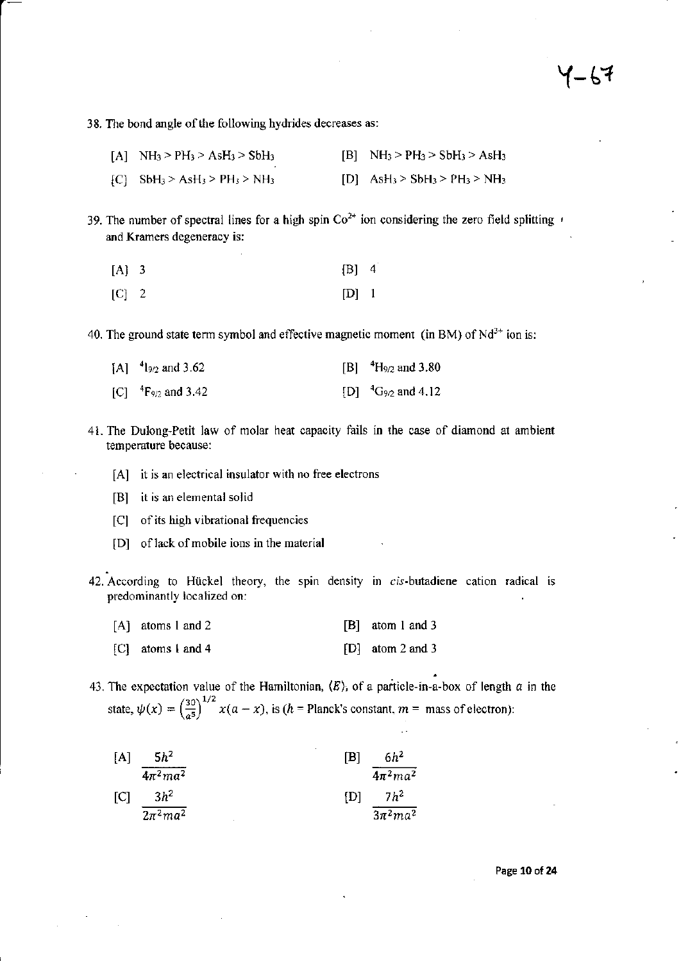38. The bond angle of the following hydrides decreases as:

- $[A]$  NH<sub>3</sub> > PH<sub>3</sub> > AsH<sub>3</sub> > SbH<sub>3</sub>  $\text{B}$  NH<sub>3</sub> > PH<sub>3</sub> > SbH<sub>3</sub> > AsH<sub>3</sub>  $\begin{equation} [C] \quad SbH_3 \geq AsH_3 \geq PH_3 \geq NH_3 \end{equation} \begin{equation} \begin{equation} AsH_3 \geq SbH_3 \geq PH_3 \geq NH_3 \end{equation}$
- 39. The number of spectral lines for a high spin  $Co^{2+}$  ion considering the zero field splitting  $\prime$ and Kramers degeneracy is:
	- $[A]$  3  $[B]$  4
	- $[C]$  2  $[D]$  1

40. The ground state term symbol and effective magnetic moment (in BM) of  $Nd^{3+}$  ion is:

| $[A]$ $^{4}$ l <sub>9/2</sub> and 3.62 | [B] $^{4}$ H <sub>9/2</sub> and 3.80 |
|----------------------------------------|--------------------------------------|
| [C] ${}^{4}F_{9/2}$ and 3.42           | [D] ${}^{4}G_{9/2}$ and 4.12         |

- 41. The Dulong-Petit law of molar heat capacity fails in the case of diamond at ambient temperature because:
	- [A] it is an electrical insulator with no free electrons
	- [B] it is an elemental solid
	- $[C]$  of its high vibrational frequencies
	- [D] of lack of mobile ions in the material
- 42. According to Hückel theory, the spin density in  $cis$ -butadiene cation radical is predominantly localized on:
	- [A] atoms 1 and 2 [B] atom 1 and 3
	- lcl atoms I and 4 [D] atom 2 and <sup>3</sup>
- 43. The expectation value of the Hamiltonian,  $(E)$ , of a particle-in-a-box of length a in the state,  $\psi(x) = \left(\frac{30}{a^5}\right)^{1/2} x(a - x)$ , is  $(h = \text{Planck's constant}, m = \text{mass of electron})$

[A] 
$$
\frac{5h^2}{4\pi^2ma^2}
$$
 [B]  $\frac{6h^2}{4\pi^2ma^2}$   
\n[C]  $\frac{3h^2}{2\pi^2ma^2}$  [D]  $\frac{7h^2}{3\pi^2ma^2}$ 

Page 10 of 24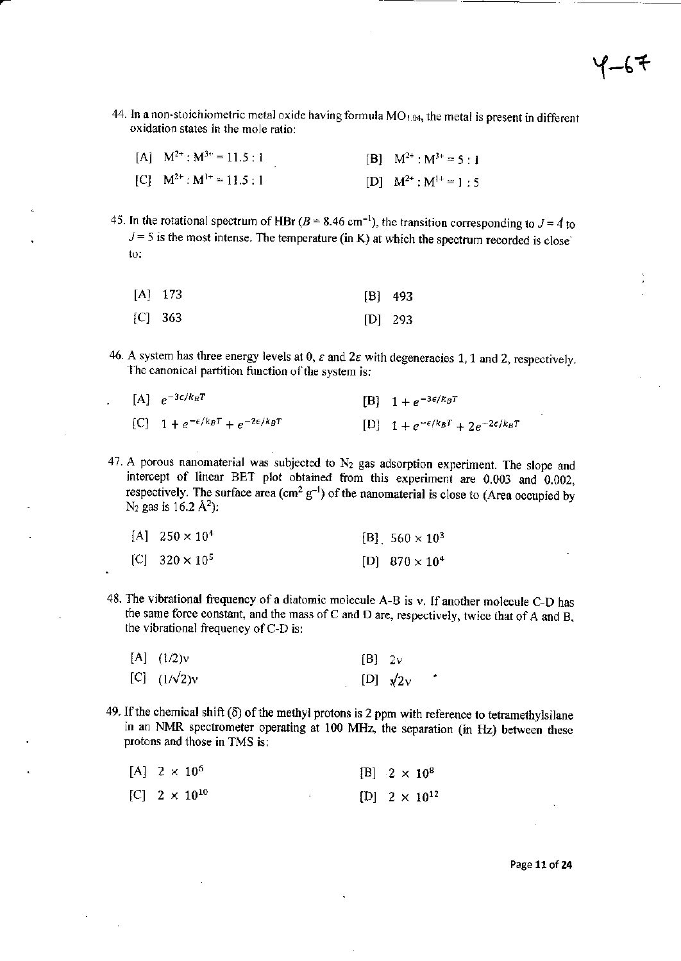44. In a non-stoichiometric metal oxide having formula  $MO_{1.04}$ , the metal is present in different oxidation states in the mole ratio:

| [A] $M^{2+}$ : $M^{3+} = 11.5 : 1$ | [B] $M^{2+}: M^{3+} = 5: 1$ |
|------------------------------------|-----------------------------|
| [C] $M^{2+}: M^{1+} = 11.5: 1$     | [D] $M^{2+}: M^{1+} = 1: 5$ |

45. In the rotational spectrum of HBr ( $B = 8.46$  cm<sup>-1</sup>), the transition corresponding to  $J = 4$  to  $J=5$  is the most intense. The temperature (in K) at which the spectrum recorded is close to:

| $[A]$ 173 | $[B]$ 493 |
|-----------|-----------|
| $[C]$ 363 | $[D]$ 293 |

46. A system has three energy levels at 0,  $\varepsilon$  and  $2\varepsilon$  with degeneracies 1, 1 and 2, respectively. The canonical partition function of the system is:

| [A] $e^{-3\epsilon/k_B T}$                           | [B] $1 + e^{-3\epsilon/k_B T}$                        |
|------------------------------------------------------|-------------------------------------------------------|
| [C] $1 + e^{-\epsilon/k_B T} + e^{-2\epsilon/k_B T}$ | [D] $1 + e^{-\epsilon/k_B T} + 2e^{-2\epsilon/k_B T}$ |

47. A porous nanomaterial was subjected to  $N_2$  gas adsorption experiment. The slope and intercept of linear BET plot obtained from this experiment are 0.003 and 0.002, respectively. The surface area  $(cm^2 g^{-1})$  of the nanomaterial is close to (Area occupied by  $N_2$  gas is 16.2 Å<sup>2</sup>):

| [A] $250 \times 10^4$ | $[B]$ 560 $\times$ 10 <sup>3</sup> |
|-----------------------|------------------------------------|
| [C] $320 \times 10^5$ | [D] $870 \times 10^4$              |

48. The vibrational frequency of a diatomic molecule A-B is v. If another molecule C-D has the same force constant, and the mass of C and D are, respectively, twice that of A and B, the vibrational frequency of C-D is:

| [A] $(1/2)v$        | $[B]$ 2v |                   |  |
|---------------------|----------|-------------------|--|
| [C] $(1/\sqrt{2})v$ |          | $[D]$ $\sqrt{2v}$ |  |

49. If the chemical shift  $(\delta)$  of the methyl protons is 2 ppm with reference to tetramethylsilane in an NMR spectrometer operating at 100 MHz, the separation (in Hz) between these protons and those in TMS is:

| [A] $2 \times 10^6$ |                        |  | $[B]$ 2 × 10 <sup>8</sup>  |  |
|---------------------|------------------------|--|----------------------------|--|
|                     | [C] $2 \times 10^{10}$ |  | $[D]$ 2 × 10 <sup>12</sup> |  |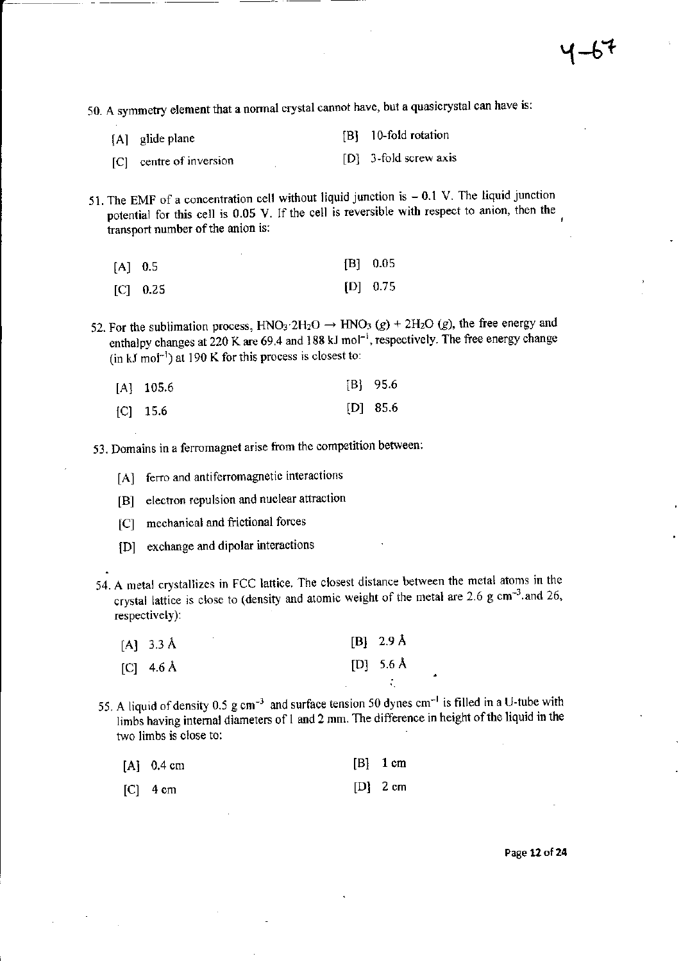50. A symmetry element that a normal crystal cannot have, but a quasicrystal can have is:

- [A] glide plane late lBJ 10-fold rotation
- [C] centre of inversion [D] 3-fold screw axis
- 51. The EMF of a concentration cell without liquid junction is  $-0.1$  V. The liquid junction potential for this cell is 0.05 V. If the cell is reversible with respect to anion, then the transport number of the anion is:

| $[A]$ 0.5  | $[B]$ 0.05 |
|------------|------------|
| $[C]$ 0.25 | $[D]$ 0.75 |

52. For the sublimation process,  $HNO_3$   $2H_2O \rightarrow HNO_3$  (g) +  $2H_2O$  (g), the free energy and enthalpy changes at 220 K are 69.4 and 188 kJ mol<sup>-1</sup>, respectively. The free energy change  $(in kJ mol<sup>-1</sup>)$  at 190 K for this process is closest to:

| $[A]$ 105.6 | $[B]$ 95.6 |
|-------------|------------|
| $[C]$ 15.6  | $[D]$ 85.6 |

- 53. Domains in a ferromagnet arise from the competition between:
	- [A] ferro and antiferromagnetic interactions
	- [B] electron repulsion and nuclear attraction
	- [C] mechanical and frictional forces
	- [D] exchange and dipolar interactions
- 54. A metal crystallizes in FCC lattice. The closest distance between the metal atoms in the crystal lattice is close to (density and atomic weight of the metal are  $2.6$  g cm<sup>-3</sup> and  $26$ , respectively):

| $[A]$ 3.3 Å |  | [B] $2.9 \text{ Å}$ |
|-------------|--|---------------------|
| $[C]$ 4.6 Å |  | $[D]$ 5.6 Å         |
|             |  |                     |

55. A liquid of density 0.5 g cm<sup>-3</sup> and surface tension 50 dynes cm<sup>-1</sup> is filled in a U-tube with limbs having internal diameters of 1 and 2 mm. The difference in height of the liquid in the two limbs is close to:

| $[A]$ 0.4 cm | $[B]$ 1 cm |
|--------------|------------|
| $[C]$ 4 cm   | $[D]$ 2 cm |

Page 12 of 24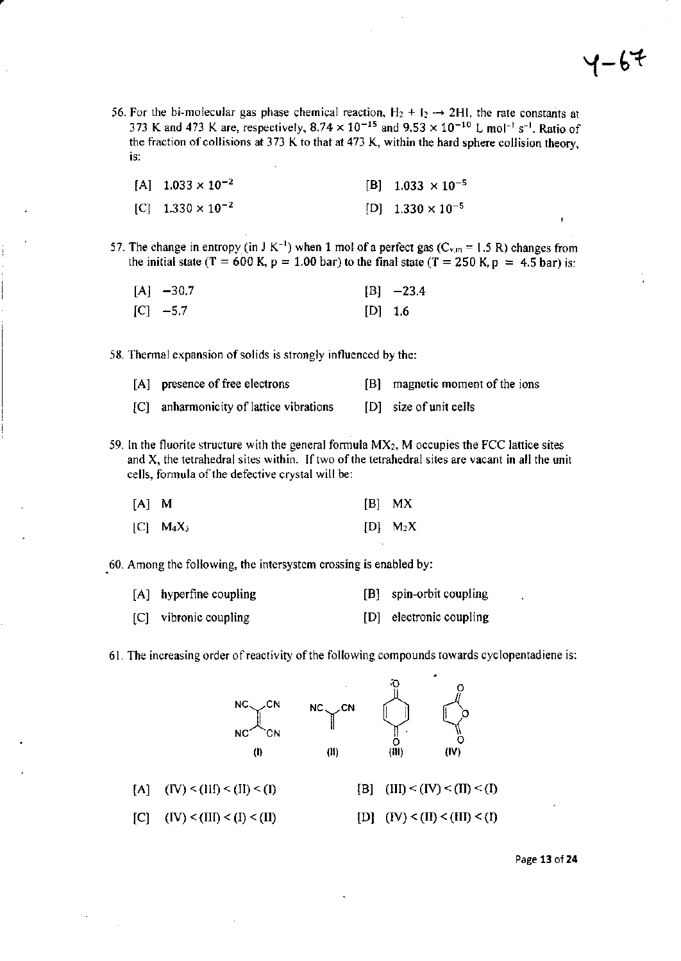56. For the bi-molecular gas phase chemical reaction,  $H_2 + I_2 \rightarrow 2H$ , the rate constants at 373 K and 473 K are, respectively,  $8.74 \times 10^{-15}$  and  $9.53 \times 10^{-10}$  L mol<sup>-1</sup> s<sup>-1</sup>. Ratio of the fraction of collisions at 373 K to that at 473 K, within the hard sphere collision theory, is:

| [A] $1.033 \times 10^{-2}$            | [B] $1.033 \times 10^{-5}$            |
|---------------------------------------|---------------------------------------|
| $ C $ 1.330 $\times$ 10 <sup>-2</sup> | $[D]$ 1.330 $\times$ 10 <sup>-5</sup> |

57. The change in entropy (in J K<sup>-1</sup>) when 1 mol of a perfect gas ( $C_{v,m}$  = 1.5 R) changes from the initial state (T = 600 K, p = 1.00 bar) to the final state (T = 250 K, p = 4.5 bar) is:

| $[A]$ -30.7 |           | $[B] -23.4$ |
|-------------|-----------|-------------|
| $[C] -5.7$  | $[D]$ 1.6 |             |

58. Thermal expansion of solids is strongly influenced by the:

| [A] presence of free electrons          | [B] magnetic moment of the ions |
|-----------------------------------------|---------------------------------|
| [C] anharmonicity of lattice vibrations | [D] size of unit cells          |

59. In the fluorite structure with the general formula  $MX<sub>2</sub>$ , M occupies the FCC lattice sites and  $X$ , the tetrahedral sites within. If two of the tetrahedral sites are vacant in all the unit cells, formula of the defective crystal will be:

| $[A]$ M |                                     | $[B]$ MX     |
|---------|-------------------------------------|--------------|
|         | $[C]$ M <sub>4</sub> X <sub>3</sub> | $[D]$ $M_2X$ |

.60. Among the following, the intersystem crossing is enabled by:

[A] hyperfine coupling [B] spin-orbit coupling [C] vibronic coupling [D] electronic coupling

61. The increasing order of reactivity of the following compounds towards cyclopentadiene is:

[A] (ry) < (ur) < (rr) < (l) {Bl (rrD < (rv) < 0r) < 0) lcl (ry<0D<(r)<(rD [D] (Iv)<0I)<oID<(r) o lo Nc vcN Nc cN r\ I ll -Y- (\_J Lo Nc'-cN tl ( bo 0) n0 () 0v)

Paee 13 of 24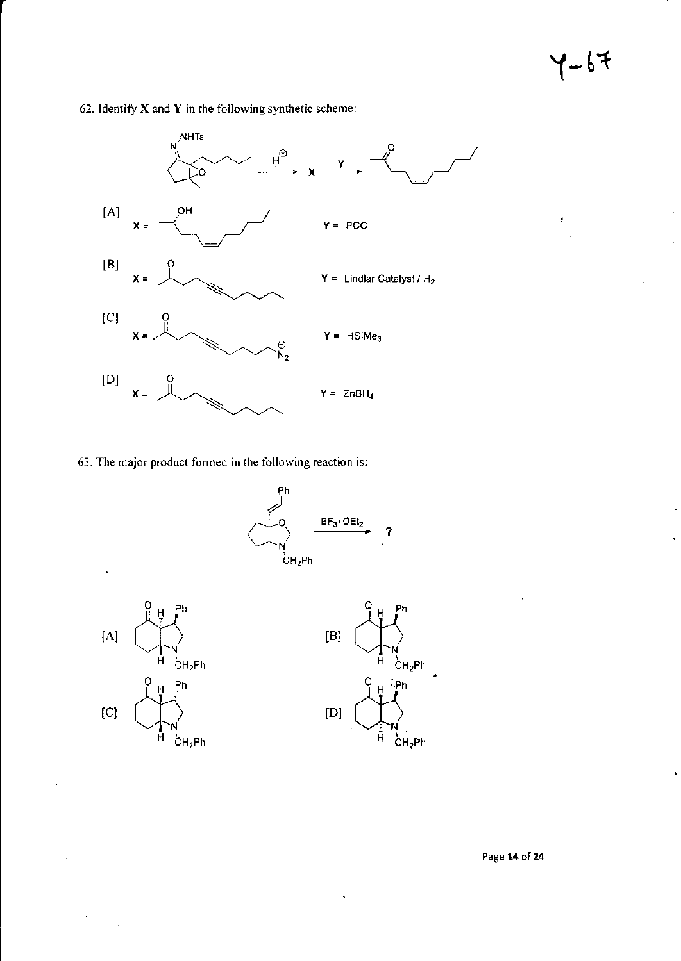$\pmb{\cdot}$ 



62. Identify  $X$  and  $Y$  in the following synthetic scheme:

63. The major product formed in the following reaction is:







l,

Page 14 of 24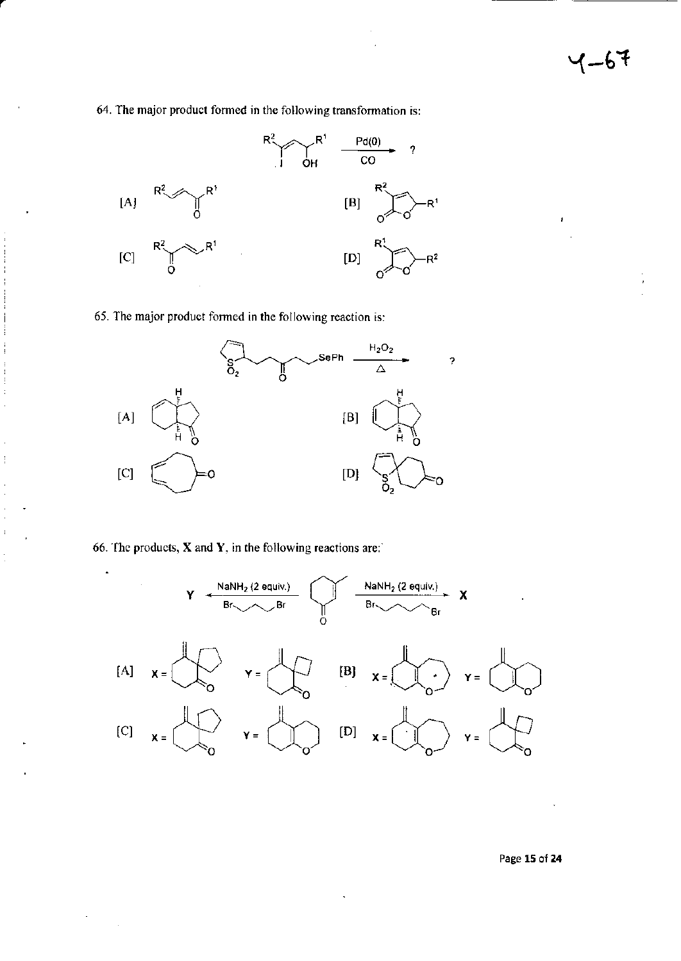64. The major product formed in the following transformation is:



65. The major product formed in the following reaction is:



66. The products,  $X$  and  $Y$ , in the following reactions are:

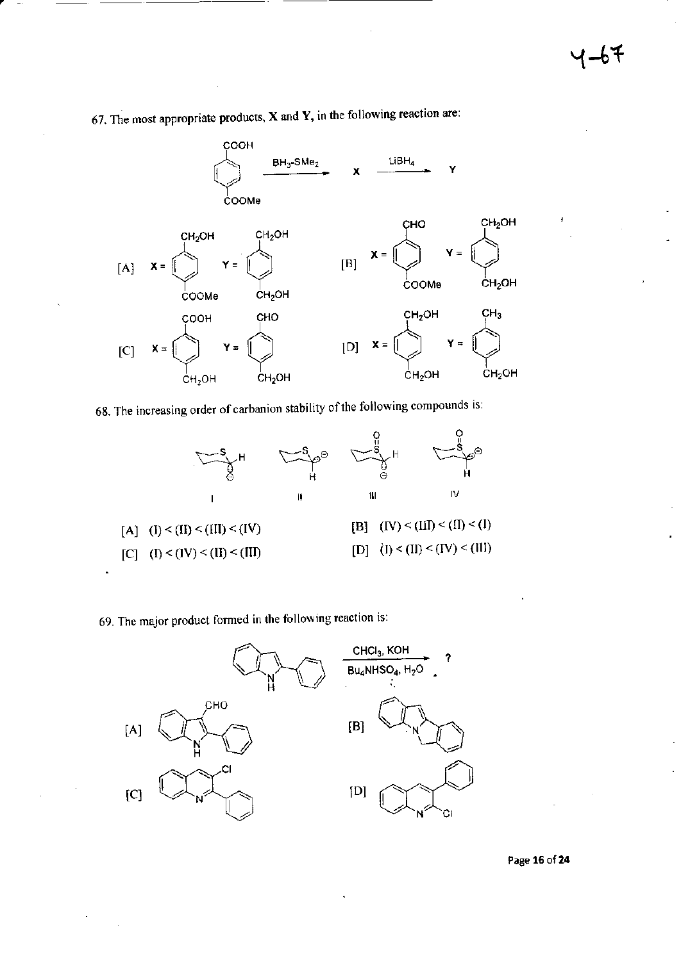

67. The most appropriate products,  $X$  and  $Y$ , in the following reaction are:

COOH

68. The increasing order of carbanion stability of the following compounds is:



69. The major product formed in the following reaction is:



Page 16 of 24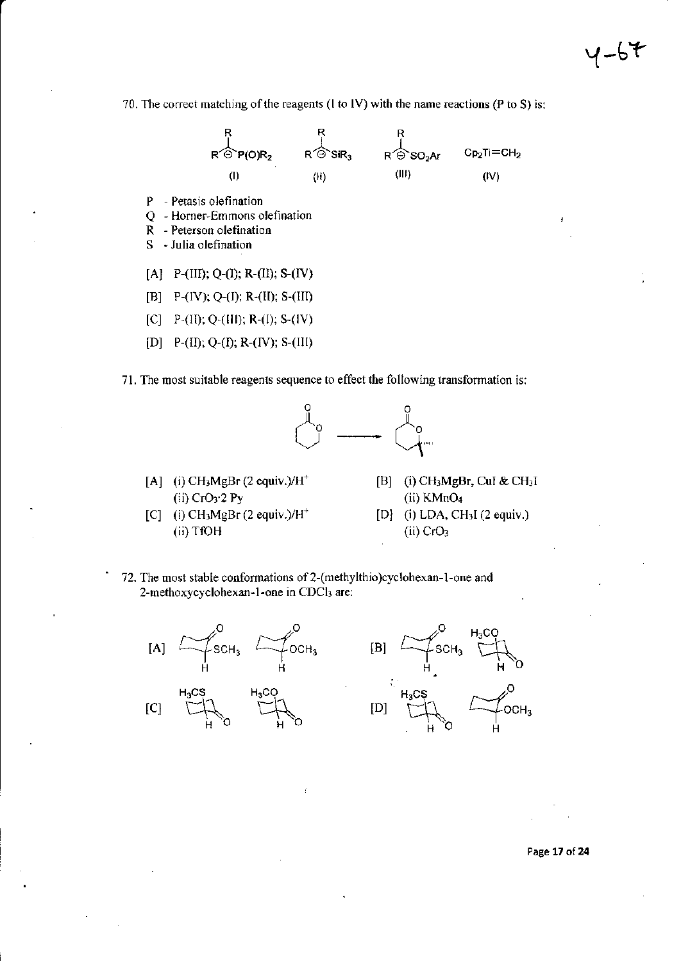70. The correct matching of the reagents ( $\bf{l}$  to  $\bf{IV}$ ) with the name reactions ( $\bf{P}$  to  $\bf{S}$ ) is:

 $R \overset{1}{\odot} SO_2$ Ar  $R \widehat{\odot}$ Si $R_3$  $Cp_2$ Ti= $CH_2$  $P(O)R_2$  $(III)$  $(1)$  $(ii)$  $(IV)$ 

- P Petasis olefination
- Q Horner-Emmons olefination
- R Peterson olefination
- S Julia olefination
- [A]  $P-(III); Q-(I); R-(II); S-(IV)$
- [B]  $P-(IV); Q-(I); R-(II); S-(III)$
- [C]  $P-(II); Q-(III); R-(I); S-(IV)$
- [D]  $P-(II); Q-(I); R-(IV); S-(III)$

71. The most suitable reagents sequence to effect the following transformation is:



[A] (i) CH<sub>3</sub>MgBr (2 equiv.)/H<sup>+</sup>  $(ii)$  CrO<sub>3</sub> $\cdot$ 2 Py



- [B] (i)  $CH_3MgBr$ , CuI & CH<sub>3</sub>I (ii) KMnO<sub>4</sub>
- [D] (i) LDA, CH<sub>3</sub>I (2 equiv.)  $(ii)$  CrO<sub>3</sub>
- 72. The most stable conformations of 2-(methylthio)cyclohexan-1-one and 2-methoxycyclohexan-1-one in CDCl3 are:



 $[C]$ 



Page 17 of 24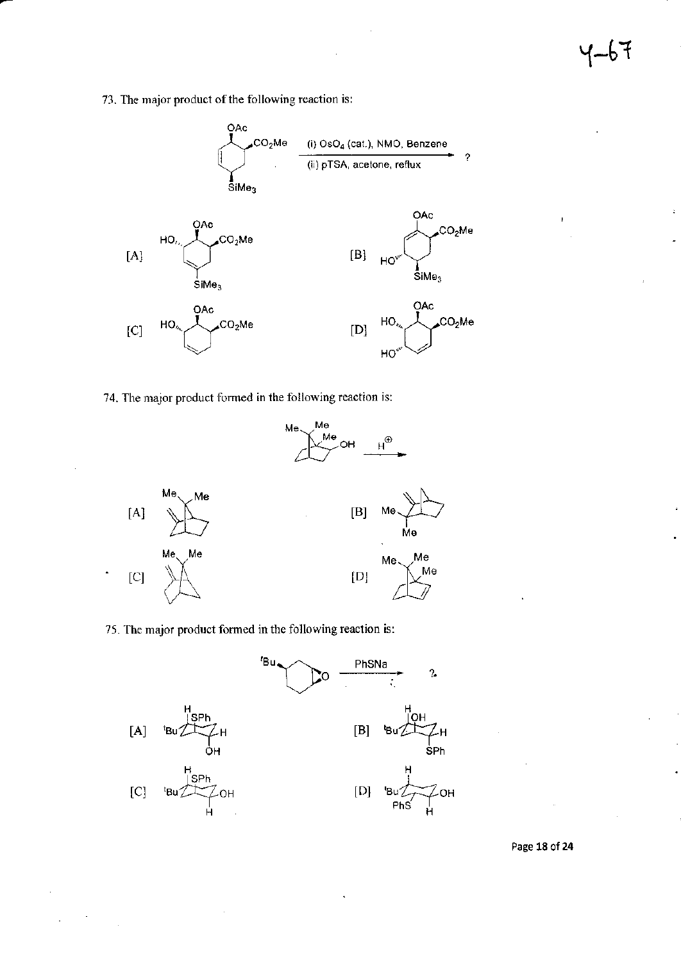73. The major product of the following reaction is:



# 74. The major product formed in the following reaction is:



75. The major product formed in the following reaction is:



Page 18 of 24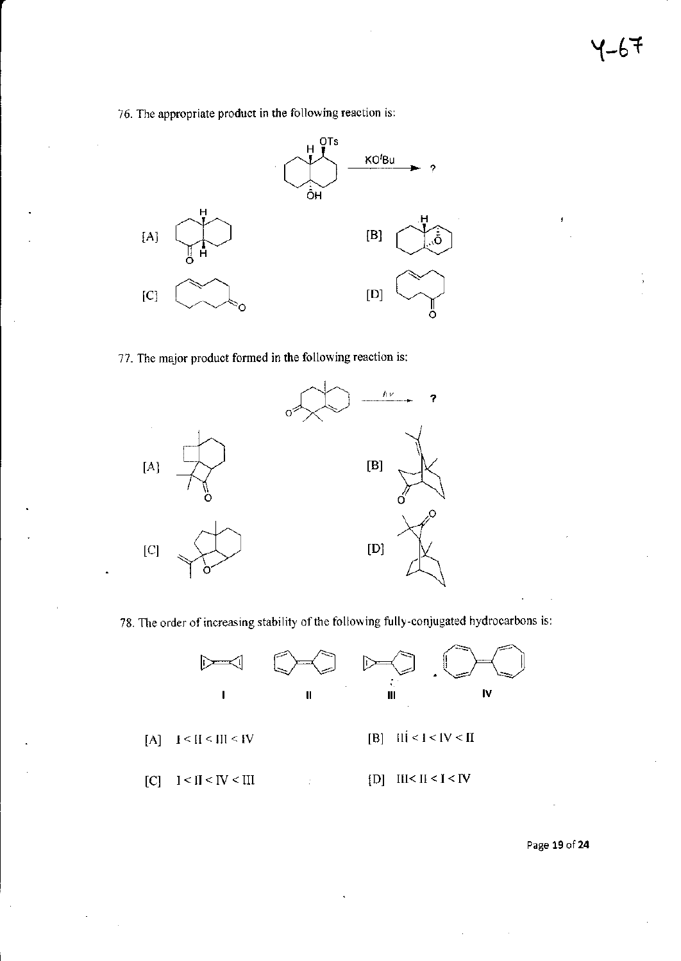76. The appropriate product in the following reaction is:



77. The major product formed in the following reaction is:



78. The order of increasing stability of the following fully-conjugated hydrocarbons is:



Page 19 of 24